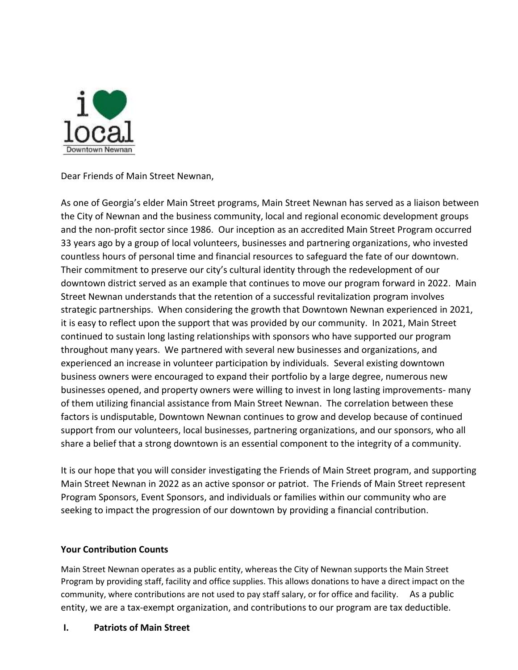

Dear Friends of Main Street Newnan,

As one of Georgia's elder Main Street programs, Main Street Newnan has served as a liaison between the City of Newnan and the business community, local and regional economic development groups and the non-profit sector since 1986. Our inception as an accredited Main Street Program occurred 33 years ago by a group of local volunteers, businesses and partnering organizations, who invested countless hours of personal time and financial resources to safeguard the fate of our downtown. Their commitment to preserve our city's cultural identity through the redevelopment of our downtown district served as an example that continues to move our program forward in 2022. Main Street Newnan understands that the retention of a successful revitalization program involves strategic partnerships. When considering the growth that Downtown Newnan experienced in 2021, it is easy to reflect upon the support that was provided by our community. In 2021, Main Street continued to sustain long lasting relationships with sponsors who have supported our program throughout many years. We partnered with several new businesses and organizations, and experienced an increase in volunteer participation by individuals. Several existing downtown business owners were encouraged to expand their portfolio by a large degree, numerous new businesses opened, and property owners were willing to invest in long lasting improvements- many of them utilizing financial assistance from Main Street Newnan. The correlation between these factors is undisputable, Downtown Newnan continues to grow and develop because of continued support from our volunteers, local businesses, partnering organizations, and our sponsors, who all share a belief that a strong downtown is an essential component to the integrity of a community.

It is our hope that you will consider investigating the Friends of Main Street program, and supporting Main Street Newnan in 2022 as an active sponsor or patriot. The Friends of Main Street represent Program Sponsors, Event Sponsors, and individuals or families within our community who are seeking to impact the progression of our downtown by providing a financial contribution.

### **Your Contribution Counts**

Main Street Newnan operates as a public entity, whereas the City of Newnan supports the Main Street Program by providing staff, facility and office supplies. This allows donations to have a direct impact on the community, where contributions are not used to pay staff salary, or for office and facility. As a public entity, we are a tax-exempt organization, and contributions to our program are tax deductible.

### **I. Patriots of Main Street**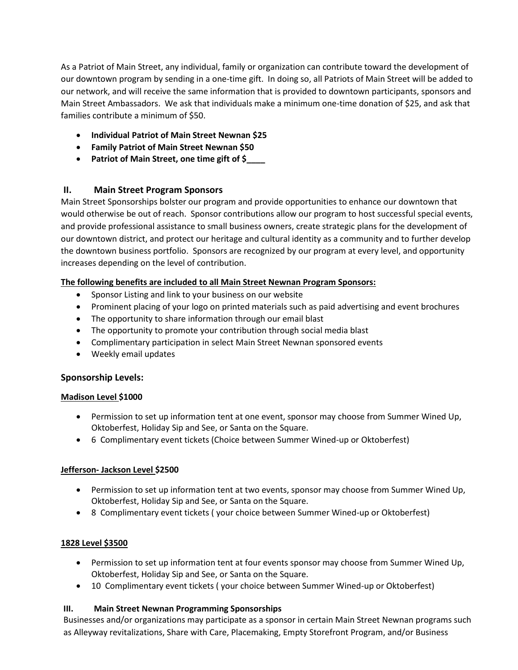As a Patriot of Main Street, any individual, family or organization can contribute toward the development of our downtown program by sending in a one-time gift. In doing so, all Patriots of Main Street will be added to our network, and will receive the same information that is provided to downtown participants, sponsors and Main Street Ambassadors. We ask that individuals make a minimum one-time donation of \$25, and ask that families contribute a minimum of \$50.

- **Individual Patriot of Main Street Newnan \$25**
- **Family Patriot of Main Street Newnan \$50**
- **Patriot of Main Street, one time gift of \$\_\_\_\_**

## **II. Main Street Program Sponsors**

Main Street Sponsorships bolster our program and provide opportunities to enhance our downtown that would otherwise be out of reach. Sponsor contributions allow our program to host successful special events, and provide professional assistance to small business owners, create strategic plans for the development of our downtown district, and protect our heritage and cultural identity as a community and to further develop the downtown business portfolio. Sponsors are recognized by our program at every level, and opportunity increases depending on the level of contribution.

### **The following benefits are included to all Main Street Newnan Program Sponsors:**

- Sponsor Listing and link to your business on our website
- Prominent placing of your logo on printed materials such as paid advertising and event brochures
- The opportunity to share information through our email blast
- The opportunity to promote your contribution through social media blast
- Complimentary participation in select Main Street Newnan sponsored events
- Weekly email updates

### **Sponsorship Levels:**

#### **Madison Level \$1000**

- Permission to set up information tent at one event, sponsor may choose from Summer Wined Up, Oktoberfest, Holiday Sip and See, or Santa on the Square.
- 6 Complimentary event tickets (Choice between Summer Wined-up or Oktoberfest)

### **Jefferson- Jackson Level \$2500**

- Permission to set up information tent at two events, sponsor may choose from Summer Wined Up, Oktoberfest, Holiday Sip and See, or Santa on the Square.
- 8 Complimentary event tickets ( your choice between Summer Wined-up or Oktoberfest)

### **1828 Level \$3500**

- Permission to set up information tent at four events sponsor may choose from Summer Wined Up, Oktoberfest, Holiday Sip and See, or Santa on the Square.
- 10 Complimentary event tickets ( your choice between Summer Wined-up or Oktoberfest)

#### **III. Main Street Newnan Programming Sponsorships**

Businesses and/or organizations may participate as a sponsor in certain Main Street Newnan programs such as Alleyway revitalizations, Share with Care, Placemaking, Empty Storefront Program, and/or Business